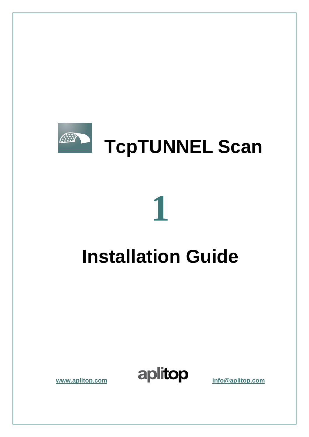

## **Installation Guide**

**1**

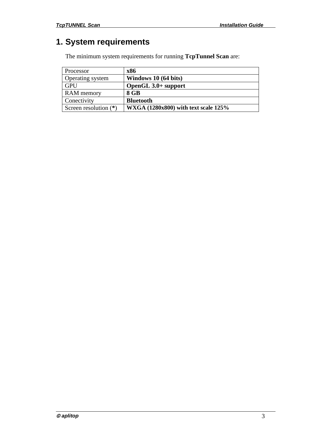## <span id="page-2-0"></span>**1. System requirements**

The minimum system requirements for running **TcpTunnel Scan** are:

| Processor               | x86                                  |
|-------------------------|--------------------------------------|
| Operating system        | Windows 10 (64 bits)                 |
| <b>GPU</b>              | OpenGL 3.0+ support                  |
| <b>RAM</b> memory       | 8 GB                                 |
| Conectivity             | <b>Bluetooth</b>                     |
| Screen resolution $(*)$ | WXGA (1280x800) with text scale 125% |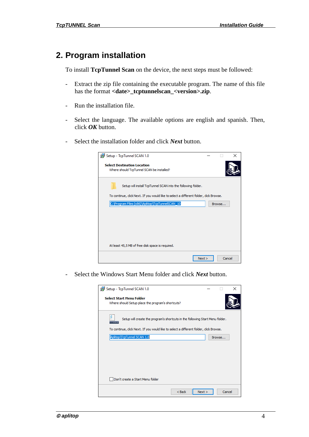## <span id="page-3-0"></span>**2. Program installation**

To install **TcpTunnel Scan** on the device, the next steps must be followed:

- Extract the zip file containing the executable program. The name of this file has the format **<date>\_tcptunnelscan\_<version>.zip**.
- Run the installation file.
- Select the language. The available options are english and spanish. Then, click *OK* button.
- Select the installation folder and click *Next* button.

| Setup - TcpTunnel SCAN 1.0                                                             |        | × |
|----------------------------------------------------------------------------------------|--------|---|
| <b>Select Destination Location</b><br>Where should TcpTunnel SCAN be installed?        |        |   |
| Setup will install TcpTunnel SCAN into the following folder.                           |        |   |
| To continue, click Next. If you would like to select a different folder, click Browse. |        |   |
| C:\Program Files (x86)\Aplitop\TcpTunnelSCAN_10                                        | Browse |   |
|                                                                                        |        |   |
|                                                                                        |        |   |
|                                                                                        |        |   |
|                                                                                        |        |   |
| At least 45,5 MB of free disk space is required.                                       |        |   |
| Next                                                                                   | Cancel |   |

- Select the Windows Start Menu folder and click *Next* button.

| Setup - TcpTunnel SCAN 1.0                                                           |        | × |
|--------------------------------------------------------------------------------------|--------|---|
| <b>Select Start Menu Folder</b><br>Where should Setup place the program's shortcuts? |        |   |
| ۶<br>Setup will create the program's shortcuts in the following Start Menu folder.   |        |   |
| To continue, dick Next. If you would like to select a different folder, dick Browse. |        |   |
| Aplitop\TcpTunnel SCAN 1.0                                                           | Browse |   |
|                                                                                      |        |   |
|                                                                                      |        |   |
|                                                                                      |        |   |
|                                                                                      |        |   |
| Don't create a Start Menu folder                                                     |        |   |
| Next<br>$<$ Back                                                                     | Cancel |   |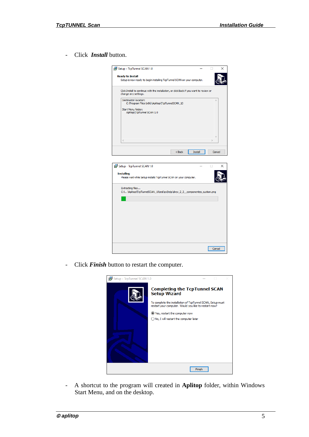- Click *Install* button.



- Click *Finish* button to restart the computer.



- A shortcut to the program will created in **Aplitop** folder, within Windows Start Menu, and on the desktop.